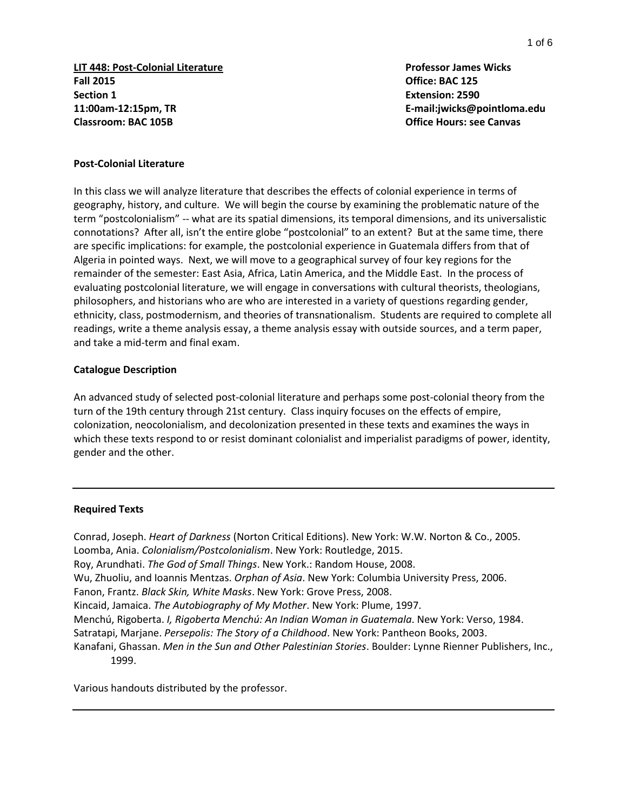**LIT 448: Post-Colonial Literature Professor James Wicks Fall 2015 Office: BAC 125 Section 1 Extension: 2590 11:00am-12:15pm, TR E-mail:jwicks@pointloma.edu Classroom: BAC 105B Office Hours: see Canvas**

#### **Post-Colonial Literature**

In this class we will analyze literature that describes the effects of colonial experience in terms of geography, history, and culture. We will begin the course by examining the problematic nature of the term "postcolonialism" -- what are its spatial dimensions, its temporal dimensions, and its universalistic connotations? After all, isn't the entire globe "postcolonial" to an extent? But at the same time, there are specific implications: for example, the postcolonial experience in Guatemala differs from that of Algeria in pointed ways. Next, we will move to a geographical survey of four key regions for the remainder of the semester: East Asia, Africa, Latin America, and the Middle East. In the process of evaluating postcolonial literature, we will engage in conversations with cultural theorists, theologians, philosophers, and historians who are who are interested in a variety of questions regarding gender, ethnicity, class, postmodernism, and theories of transnationalism. Students are required to complete all readings, write a theme analysis essay, a theme analysis essay with outside sources, and a term paper, and take a mid-term and final exam.

#### **Catalogue Description**

An advanced study of selected post-colonial literature and perhaps some post-colonial theory from the turn of the 19th century through 21st century. Class inquiry focuses on the effects of empire, colonization, neocolonialism, and decolonization presented in these texts and examines the ways in which these texts respond to or resist dominant colonialist and imperialist paradigms of power, identity, gender and the other.

#### **Required Texts**

Conrad, Joseph. *Heart of Darkness* (Norton Critical Editions). New York: W.W. Norton & Co., 2005. Loomba, Ania. *Colonialism/Postcolonialism*. New York: Routledge, 2015. Roy, Arundhati. *The God of Small Things*. New York.: Random House, 2008. Wu, Zhuoliu, and Ioannis Mentzas. *Orphan of Asia*. New York: Columbia University Press, 2006. Fanon, Frantz. *Black Skin, White Masks*. New York: Grove Press, 2008. Kincaid, Jamaica. *The Autobiography of My Mother*. New York: Plume, 1997. Menchú, Rigoberta. *I, Rigoberta Menchú: An Indian Woman in Guatemala*. New York: Verso, 1984. Satratapi, Marjane. *Persepolis: The Story of a Childhood*. New York: Pantheon Books, 2003. Kanafani, Ghassan. *Men in the Sun and Other Palestinian Stories*. Boulder: Lynne Rienner Publishers, Inc., 1999.

Various handouts distributed by the professor.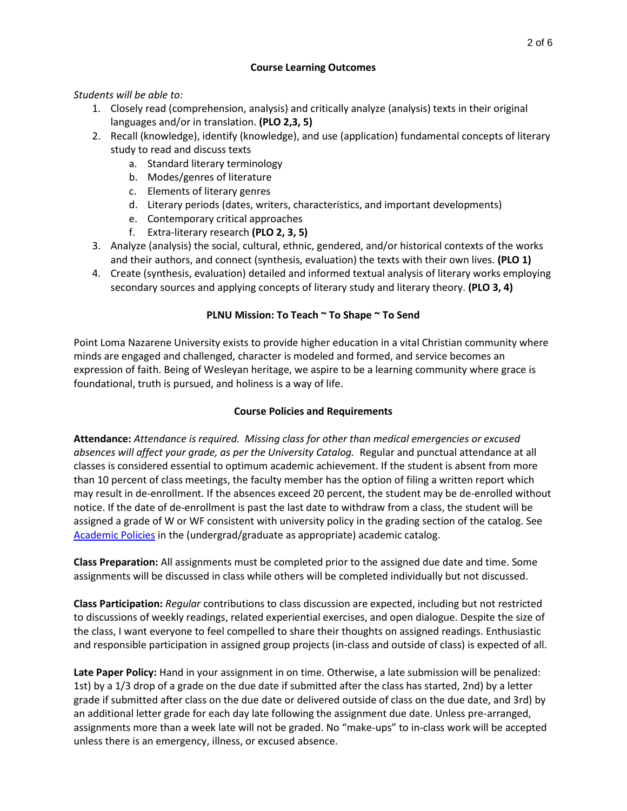## **Course Learning Outcomes**

*Students will be able to:*

- 1. Closely read (comprehension, analysis) and critically analyze (analysis) texts in their original languages and/or in translation. **(PLO 2,3, 5)**
- 2. Recall (knowledge), identify (knowledge), and use (application) fundamental concepts of literary study to read and discuss texts
	- a. Standard literary terminology
	- b. Modes/genres of literature
	- c. Elements of literary genres
	- d. Literary periods (dates, writers, characteristics, and important developments)
	- e. Contemporary critical approaches
	- f. Extra-literary research **(PLO 2, 3, 5)**
- 3. Analyze (analysis) the social, cultural, ethnic, gendered, and/or historical contexts of the works and their authors, and connect (synthesis, evaluation) the texts with their own lives. **(PLO 1)**
- 4. Create (synthesis, evaluation) detailed and informed textual analysis of literary works employing secondary sources and applying concepts of literary study and literary theory. **(PLO 3, 4)**

# **PLNU Mission: To Teach ~ To Shape ~ To Send**

Point Loma Nazarene University exists to provide higher education in a vital Christian community where minds are engaged and challenged, character is modeled and formed, and service becomes an expression of faith. Being of Wesleyan heritage, we aspire to be a learning community where grace is foundational, truth is pursued, and holiness is a way of life.

# **Course Policies and Requirements**

**Attendance:** *Attendance is required. Missing class for other than medical emergencies or excused absences will affect your grade, as per the University Catalog.* Regular and punctual attendance at all classes is considered essential to optimum academic achievement. If the student is absent from more than 10 percent of class meetings, the faculty member has the option of filing a written report which may result in de-enrollment. If the absences exceed 20 percent, the student may be de-enrolled without notice. If the date of de-enrollment is past the last date to withdraw from a class, the student will be assigned a grade of W or WF consistent with university policy in the grading section of the catalog. Se[e](http://catalog.pointloma.edu/content.php?catoid=18&navoid=1278) [Academic Policies](http://catalog.pointloma.edu/content.php?catoid=18&navoid=1278) in the (undergrad/graduate as appropriate) academic catalog.

**Class Preparation:** All assignments must be completed prior to the assigned due date and time. Some assignments will be discussed in class while others will be completed individually but not discussed.

**Class Participation:** *Regular* contributions to class discussion are expected, including but not restricted to discussions of weekly readings, related experiential exercises, and open dialogue. Despite the size of the class, I want everyone to feel compelled to share their thoughts on assigned readings. Enthusiastic and responsible participation in assigned group projects (in-class and outside of class) is expected of all.

**Late Paper Policy:** Hand in your assignment in on time. Otherwise, a late submission will be penalized: 1st) by a 1/3 drop of a grade on the due date if submitted after the class has started, 2nd) by a letter grade if submitted after class on the due date or delivered outside of class on the due date, and 3rd) by an additional letter grade for each day late following the assignment due date. Unless pre-arranged, assignments more than a week late will not be graded. No "make-ups" to in-class work will be accepted unless there is an emergency, illness, or excused absence.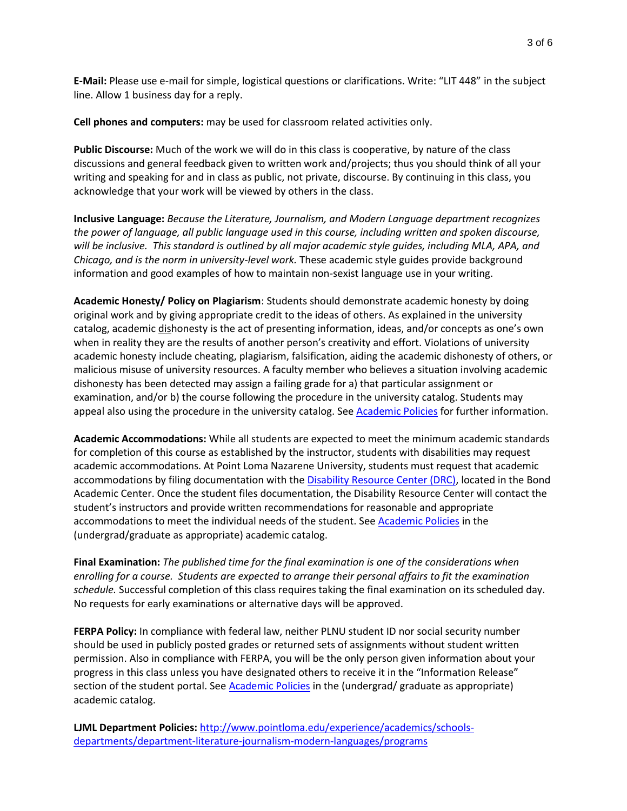**E-Mail:** Please use e-mail for simple, logistical questions or clarifications. Write: "LIT 448" in the subject line. Allow 1 business day for a reply.

**Cell phones and computers:** may be used for classroom related activities only.

**Public Discourse:** Much of the work we will do in this class is cooperative, by nature of the class discussions and general feedback given to written work and/projects; thus you should think of all your writing and speaking for and in class as public, not private, discourse. By continuing in this class, you acknowledge that your work will be viewed by others in the class.

**Inclusive Language:** *Because the Literature, Journalism, and Modern Language department recognizes the power of language, all public language used in this course, including written and spoken discourse, will be inclusive. This standard is outlined by all major academic style guides, including MLA, APA, and Chicago, and is the norm in university-level work.* These academic style guides provide background information and good examples of how to maintain non-sexist language use in your writing.

**Academic Honesty/ Policy on Plagiarism**: Students should demonstrate academic honesty by doing original work and by giving appropriate credit to the ideas of others. As explained in the university catalog, academic dishonesty is the act of presenting information, ideas, and/or concepts as one's own when in reality they are the results of another person's creativity and effort. Violations of university academic honesty include cheating, plagiarism, falsification, aiding the academic dishonesty of others, or malicious misuse of university resources. A faculty member who believes a situation involving academic dishonesty has been detected may assign a failing grade for a) that particular assignment or examination, and/or b) the course following the procedure in the university catalog. Students may appeal also using the procedure in the university catalog. See [Academic Policies](http://catalog.pointloma.edu/content.php?catoid=18&navoid=1278) for further information.

**Academic Accommodations:** While all students are expected to meet the minimum academic standards for completion of this course as established by the instructor, students with disabilities may request academic accommodations. At Point Loma Nazarene University, students must request that academic accommodations by filing documentation with the [Disability Resource Center \(DRC\),](http://www.pointloma.edu/experience/offices/administrative-offices/academic-advising-office/disability-resource-center) located in the Bond Academic Center. Once the student files documentation, the Disability Resource Center will contact the student's instructors and provide written recommendations for reasonable and appropriate accommodations to meet the individual needs of the student. See [Academic Policies](http://catalog.pointloma.edu/content.php?catoid=18&navoid=1278) in the (undergrad/graduate as appropriate) academic catalog.

**Final Examination:** *The published time for the final examination is one of the considerations when enrolling for a course. Students are expected to arrange their personal affairs to fit the examination schedule.* Successful completion of this class requires taking the final examination on its scheduled day. No requests for early examinations or alternative days will be approved.

**FERPA Policy:** In compliance with federal law, neither PLNU student ID nor social security number should be used in publicly posted grades or returned sets of assignments without student written permission. Also in compliance with FERPA, you will be the only person given information about your progress in this class unless you have designated others to receive it in the "Information Release" section of the student portal. See [Academic Policies](http://catalog.pointloma.edu/index.php) in the (undergrad/ graduate as appropriate) academic catalog.

**LJML Department Policies:** [http://www.pointloma.edu/experience/academics/schools](http://www.pointloma.edu/experience/academics/schools-departments/department-literature-journalism-modern-languages/programs)[departments/department-literature-journalism-modern-languages/programs](http://www.pointloma.edu/experience/academics/schools-departments/department-literature-journalism-modern-languages/programs)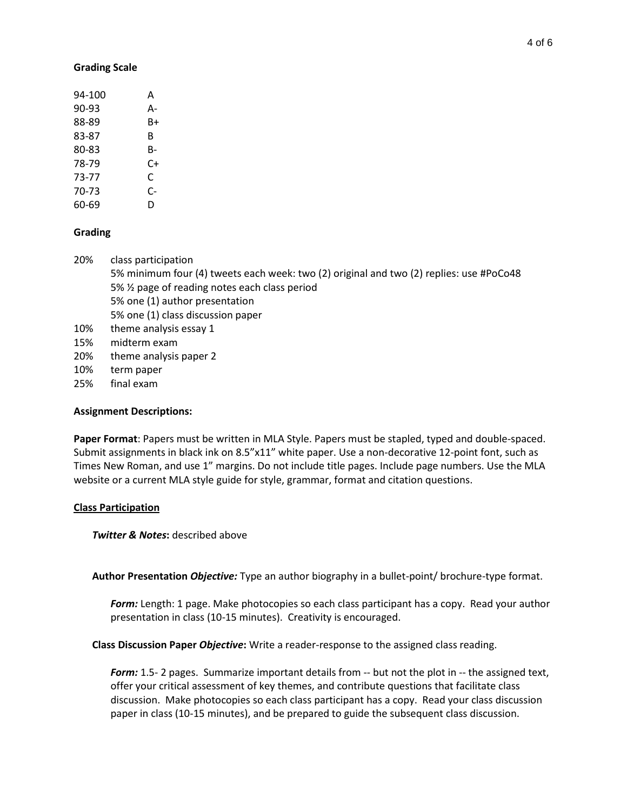#### **Grading Scale**

| 94-100 | А  |
|--------|----|
| 90-93  | А- |
| 88-89  | B+ |
| 83-87  | R  |
| 80-83  | B- |
| 78-79  | C+ |
| 73-77  | C  |
| 70-73  | C- |
| 60-69  | D  |
|        |    |

#### **Grading**

- 20% class participation 5% minimum four (4) tweets each week: two (2) original and two (2) replies: use #PoCo48 5% ½ page of reading notes each class period 5% one (1) author presentation 5% one (1) class discussion paper 10% theme analysis essay 1 15% midterm exam 20% theme analysis paper 2 10% term paper
- 25% final exam

## **Assignment Descriptions:**

**Paper Format**: Papers must be written in MLA Style. Papers must be stapled, typed and double-spaced. Submit assignments in black ink on 8.5"x11" white paper. Use a non-decorative 12-point font, such as Times New Roman, and use 1" margins. Do not include title pages. Include page numbers. Use the MLA website or a current MLA style guide for style, grammar, format and citation questions.

#### **Class Participation**

**Twitter & Notes:** described above

**Author Presentation** *Objective:* Type an author biography in a bullet-point/ brochure-type format.

*Form:* Length: 1 page. Make photocopies so each class participant has a copy. Read your author presentation in class (10-15 minutes). Creativity is encouraged.

**Class Discussion Paper** *Objective***:** Write a reader-response to the assigned class reading.

*Form:* 1.5- 2 pages. Summarize important details from -- but not the plot in -- the assigned text, offer your critical assessment of key themes, and contribute questions that facilitate class discussion. Make photocopies so each class participant has a copy. Read your class discussion paper in class (10-15 minutes), and be prepared to guide the subsequent class discussion.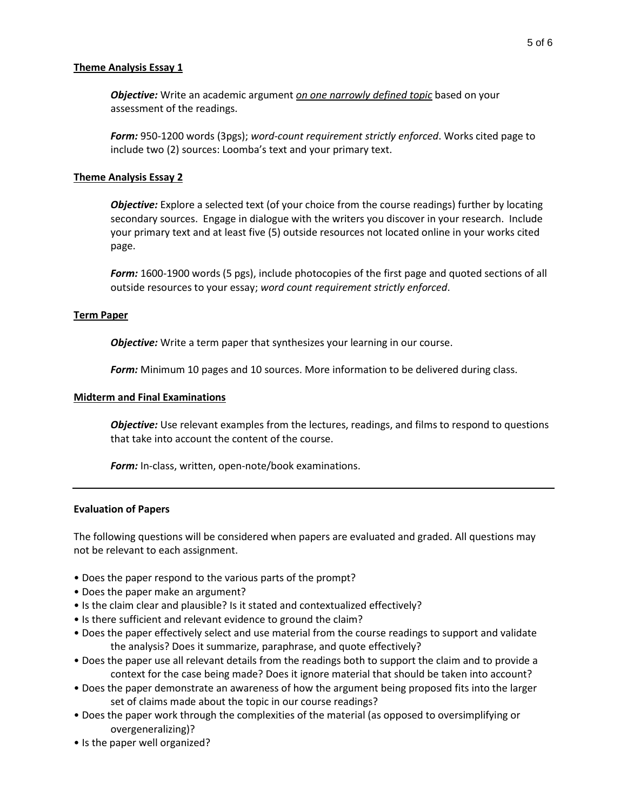## **Theme Analysis Essay 1**

*Objective:* Write an academic argument *on one narrowly defined topic* based on your assessment of the readings.

*Form:* 950-1200 words (3pgs); *word-count requirement strictly enforced*. Works cited page to include two (2) sources: Loomba's text and your primary text.

## **Theme Analysis Essay 2**

*Objective:* Explore a selected text (of your choice from the course readings) further by locating secondary sources. Engage in dialogue with the writers you discover in your research. Include your primary text and at least five (5) outside resources not located online in your works cited page.

*Form:* 1600-1900 words (5 pgs), include photocopies of the first page and quoted sections of all outside resources to your essay; *word count requirement strictly enforced*.

#### **Term Paper**

*Objective:* Write a term paper that synthesizes your learning in our course.

*Form:* Minimum 10 pages and 10 sources. More information to be delivered during class.

#### **Midterm and Final Examinations**

*Objective:* Use relevant examples from the lectures, readings, and films to respond to questions that take into account the content of the course.

**Form:** In-class, written, open-note/book examinations.

#### **Evaluation of Papers**

The following questions will be considered when papers are evaluated and graded. All questions may not be relevant to each assignment.

- Does the paper respond to the various parts of the prompt?
- Does the paper make an argument?
- Is the claim clear and plausible? Is it stated and contextualized effectively?
- Is there sufficient and relevant evidence to ground the claim?
- Does the paper effectively select and use material from the course readings to support and validate the analysis? Does it summarize, paraphrase, and quote effectively?
- Does the paper use all relevant details from the readings both to support the claim and to provide a context for the case being made? Does it ignore material that should be taken into account?
- Does the paper demonstrate an awareness of how the argument being proposed fits into the larger set of claims made about the topic in our course readings?
- Does the paper work through the complexities of the material (as opposed to oversimplifying or overgeneralizing)?
- Is the paper well organized?